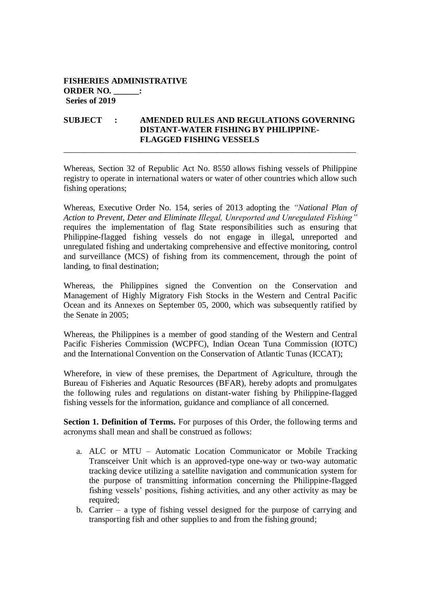## **FISHERIES ADMINISTRATIVE ORDER NO. \_\_\_\_\_\_: Series of 2019**

## **SUBJECT : AMENDED RULES AND REGULATIONS GOVERNING DISTANT-WATER FISHING BY PHILIPPINE-FLAGGED FISHING VESSELS**

\_\_\_\_\_\_\_\_\_\_\_\_\_\_\_\_\_\_\_\_\_\_\_\_\_\_\_\_\_\_\_\_\_\_\_\_\_\_\_\_\_\_\_\_\_\_\_\_\_\_\_\_\_\_\_\_\_\_\_\_\_\_\_\_\_\_\_\_\_

Whereas, Section 32 of Republic Act No. 8550 allows fishing vessels of Philippine registry to operate in international waters or water of other countries which allow such fishing operations;

Whereas, Executive Order No. 154, series of 2013 adopting the *"National Plan of Action to Prevent, Deter and Eliminate Illegal, Unreported and Unregulated Fishing"* requires the implementation of flag State responsibilities such as ensuring that Philippine-flagged fishing vessels do not engage in illegal, unreported and unregulated fishing and undertaking comprehensive and effective monitoring, control and surveillance (MCS) of fishing from its commencement, through the point of landing, to final destination;

Whereas, the Philippines signed the Convention on the Conservation and Management of Highly Migratory Fish Stocks in the Western and Central Pacific Ocean and its Annexes on September 05, 2000, which was subsequently ratified by the Senate in 2005;

Whereas, the Philippines is a member of good standing of the Western and Central Pacific Fisheries Commission (WCPFC), Indian Ocean Tuna Commission (IOTC) and the International Convention on the Conservation of Atlantic Tunas (ICCAT);

Wherefore, in view of these premises, the Department of Agriculture, through the Bureau of Fisheries and Aquatic Resources (BFAR), hereby adopts and promulgates the following rules and regulations on distant-water fishing by Philippine-flagged fishing vessels for the information, guidance and compliance of all concerned.

**Section 1. Definition of Terms.** For purposes of this Order, the following terms and acronyms shall mean and shall be construed as follows:

- a. ALC or MTU Automatic Location Communicator or Mobile Tracking Transceiver Unit which is an approved-type one-way or two-way automatic tracking device utilizing a satellite navigation and communication system for the purpose of transmitting information concerning the Philippine-flagged fishing vessels' positions, fishing activities, and any other activity as may be required;
- b. Carrier a type of fishing vessel designed for the purpose of carrying and transporting fish and other supplies to and from the fishing ground;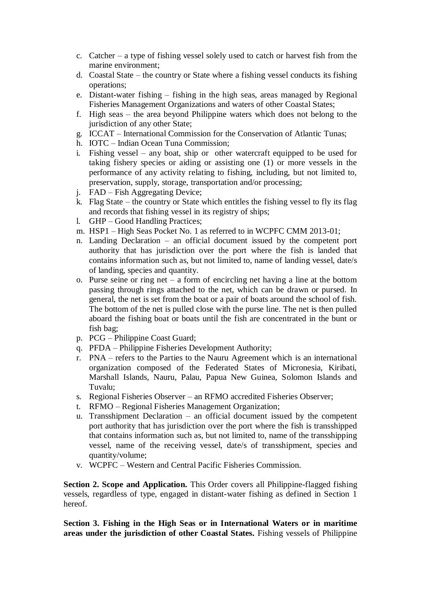- c. Catcher a type of fishing vessel solely used to catch or harvest fish from the marine environment;
- d. Coastal State the country or State where a fishing vessel conducts its fishing operations;
- e. Distant-water fishing fishing in the high seas, areas managed by Regional Fisheries Management Organizations and waters of other Coastal States;
- f. High seas the area beyond Philippine waters which does not belong to the jurisdiction of any other State;
- g. ICCAT International Commission for the Conservation of Atlantic Tunas;
- h. IOTC Indian Ocean Tuna Commission;
- i. Fishing vessel any boat, ship or other watercraft equipped to be used for taking fishery species or aiding or assisting one (1) or more vessels in the performance of any activity relating to fishing, including, but not limited to, preservation, supply, storage, transportation and/or processing;
- j. FAD Fish Aggregating Device;
- k. Flag State the country or State which entitles the fishing vessel to fly its flag and records that fishing vessel in its registry of ships;
- l. GHP Good Handling Practices;
- m. HSP1 High Seas Pocket No. 1 as referred to in WCPFC CMM 2013-01;
- n. Landing Declaration an official document issued by the competent port authority that has jurisdiction over the port where the fish is landed that contains information such as, but not limited to, name of landing vessel, date/s of landing, species and quantity.
- o. Purse seine or ring net a form of encircling net having a line at the bottom passing through rings attached to the net, which can be drawn or pursed. In general, the net is set from the boat or a pair of boats around the school of fish. The bottom of the net is pulled close with the purse line. The net is then pulled aboard the fishing boat or boats until the fish are concentrated in the bunt or fish bag;
- p. PCG Philippine Coast Guard;
- q. PFDA Philippine Fisheries Development Authority;
- r. PNA refers to the Parties to the Nauru Agreement which is an international organization composed of the Federated States of Micronesia, Kiribati, Marshall Islands, Nauru, Palau, Papua New Guinea, Solomon Islands and Tuvalu;
- s. Regional Fisheries Observer an RFMO accredited Fisheries Observer;
- t. RFMO Regional Fisheries Management Organization;
- u. Transshipment Declaration an official document issued by the competent port authority that has jurisdiction over the port where the fish is transshipped that contains information such as, but not limited to, name of the transshipping vessel, name of the receiving vessel, date/s of transshipment, species and quantity/volume;
- v. WCPFC Western and Central Pacific Fisheries Commission.

**Section 2. Scope and Application.** This Order covers all Philippine-flagged fishing vessels, regardless of type, engaged in distant-water fishing as defined in Section 1 hereof.

**Section 3. Fishing in the High Seas or in International Waters or in maritime areas under the jurisdiction of other Coastal States.** Fishing vessels of Philippine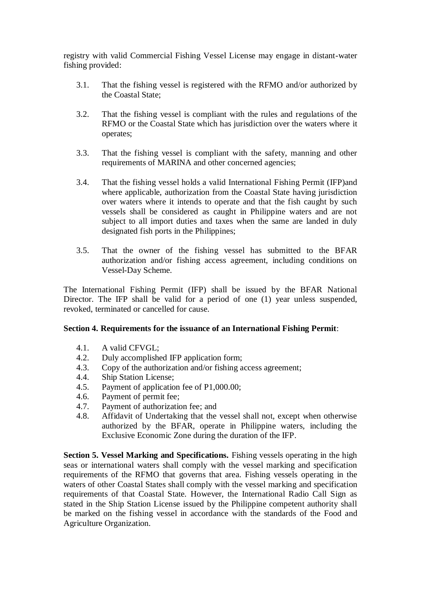registry with valid Commercial Fishing Vessel License may engage in distant-water fishing provided:

- 3.1. That the fishing vessel is registered with the RFMO and/or authorized by the Coastal State;
- 3.2. That the fishing vessel is compliant with the rules and regulations of the RFMO or the Coastal State which has jurisdiction over the waters where it operates;
- 3.3. That the fishing vessel is compliant with the safety, manning and other requirements of MARINA and other concerned agencies;
- 3.4. That the fishing vessel holds a valid International Fishing Permit (IFP)and where applicable, authorization from the Coastal State having jurisdiction over waters where it intends to operate and that the fish caught by such vessels shall be considered as caught in Philippine waters and are not subject to all import duties and taxes when the same are landed in duly designated fish ports in the Philippines;
- 3.5. That the owner of the fishing vessel has submitted to the BFAR authorization and/or fishing access agreement, including conditions on Vessel-Day Scheme.

The International Fishing Permit (IFP) shall be issued by the BFAR National Director. The IFP shall be valid for a period of one (1) year unless suspended, revoked, terminated or cancelled for cause.

## **Section 4. Requirements for the issuance of an International Fishing Permit**:

- 4.1. A valid CFVGL;
- 4.2. Duly accomplished IFP application form;
- 4.3. Copy of the authorization and/or fishing access agreement;
- 4.4. Ship Station License;
- 4.5. Payment of application fee of P1,000.00;
- 4.6. Payment of permit fee;
- 4.7. Payment of authorization fee; and
- 4.8. Affidavit of Undertaking that the vessel shall not, except when otherwise authorized by the BFAR, operate in Philippine waters, including the Exclusive Economic Zone during the duration of the IFP.

**Section 5. Vessel Marking and Specifications.** Fishing vessels operating in the high seas or international waters shall comply with the vessel marking and specification requirements of the RFMO that governs that area. Fishing vessels operating in the waters of other Coastal States shall comply with the vessel marking and specification requirements of that Coastal State. However, the International Radio Call Sign as stated in the Ship Station License issued by the Philippine competent authority shall be marked on the fishing vessel in accordance with the standards of the Food and Agriculture Organization.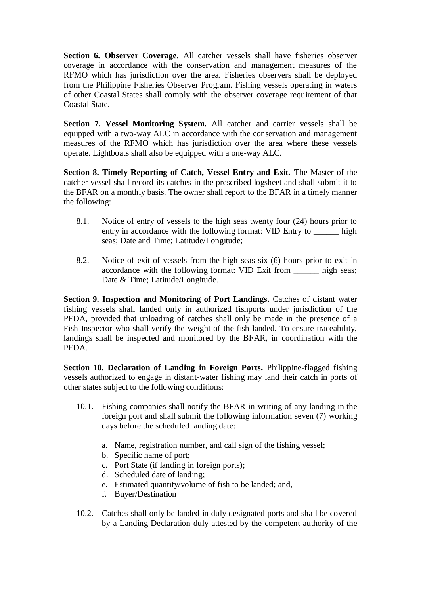**Section 6. Observer Coverage.** All catcher vessels shall have fisheries observer coverage in accordance with the conservation and management measures of the RFMO which has jurisdiction over the area. Fisheries observers shall be deployed from the Philippine Fisheries Observer Program. Fishing vessels operating in waters of other Coastal States shall comply with the observer coverage requirement of that Coastal State.

**Section 7. Vessel Monitoring System.** All catcher and carrier vessels shall be equipped with a two-way ALC in accordance with the conservation and management measures of the RFMO which has jurisdiction over the area where these vessels operate. Lightboats shall also be equipped with a one-way ALC.

**Section 8. Timely Reporting of Catch, Vessel Entry and Exit.** The Master of the catcher vessel shall record its catches in the prescribed logsheet and shall submit it to the BFAR on a monthly basis. The owner shall report to the BFAR in a timely manner the following:

- 8.1. Notice of entry of vessels to the high seas twenty four (24) hours prior to entry in accordance with the following format: VID Entry to high seas; Date and Time; Latitude/Longitude;
- 8.2. Notice of exit of vessels from the high seas six (6) hours prior to exit in accordance with the following format: VID Exit from \_\_\_\_\_\_ high seas; Date & Time; Latitude/Longitude.

**Section 9. Inspection and Monitoring of Port Landings.** Catches of distant water fishing vessels shall landed only in authorized fishports under jurisdiction of the PFDA, provided that unloading of catches shall only be made in the presence of a Fish Inspector who shall verify the weight of the fish landed. To ensure traceability, landings shall be inspected and monitored by the BFAR, in coordination with the PFDA.

**Section 10. Declaration of Landing in Foreign Ports.** Philippine-flagged fishing vessels authorized to engage in distant-water fishing may land their catch in ports of other states subject to the following conditions:

- 10.1. Fishing companies shall notify the BFAR in writing of any landing in the foreign port and shall submit the following information seven (7) working days before the scheduled landing date:
	- a. Name, registration number, and call sign of the fishing vessel;
	- b. Specific name of port;
	- c. Port State (if landing in foreign ports);
	- d. Scheduled date of landing;
	- e. Estimated quantity/volume of fish to be landed; and,
	- f. Buyer/Destination
- 10.2. Catches shall only be landed in duly designated ports and shall be covered by a Landing Declaration duly attested by the competent authority of the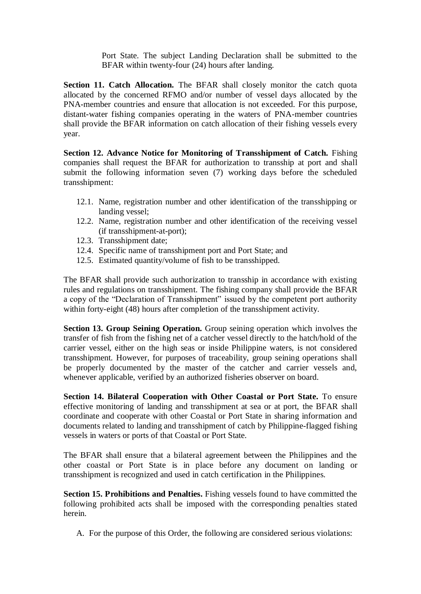Port State. The subject Landing Declaration shall be submitted to the BFAR within twenty-four (24) hours after landing.

**Section 11. Catch Allocation.** The BFAR shall closely monitor the catch quota allocated by the concerned RFMO and/or number of vessel days allocated by the PNA-member countries and ensure that allocation is not exceeded. For this purpose, distant-water fishing companies operating in the waters of PNA-member countries shall provide the BFAR information on catch allocation of their fishing vessels every year.

**Section 12. Advance Notice for Monitoring of Transshipment of Catch.** Fishing companies shall request the BFAR for authorization to transship at port and shall submit the following information seven (7) working days before the scheduled transshipment:

- 12.1. Name, registration number and other identification of the transshipping or landing vessel;
- 12.2. Name, registration number and other identification of the receiving vessel (if transshipment-at-port);
- 12.3. Transshipment date;
- 12.4. Specific name of transshipment port and Port State; and
- 12.5. Estimated quantity/volume of fish to be transshipped.

The BFAR shall provide such authorization to transship in accordance with existing rules and regulations on transshipment. The fishing company shall provide the BFAR a copy of the "Declaration of Transshipment" issued by the competent port authority within forty-eight (48) hours after completion of the transshipment activity.

**Section 13. Group Seining Operation.** Group seining operation which involves the transfer of fish from the fishing net of a catcher vessel directly to the hatch/hold of the carrier vessel, either on the high seas or inside Philippine waters, is not considered transshipment. However, for purposes of traceability, group seining operations shall be properly documented by the master of the catcher and carrier vessels and, whenever applicable, verified by an authorized fisheries observer on board.

**Section 14. Bilateral Cooperation with Other Coastal or Port State.** To ensure effective monitoring of landing and transshipment at sea or at port, the BFAR shall coordinate and cooperate with other Coastal or Port State in sharing information and documents related to landing and transshipment of catch by Philippine-flagged fishing vessels in waters or ports of that Coastal or Port State.

The BFAR shall ensure that a bilateral agreement between the Philippines and the other coastal or Port State is in place before any document on landing or transshipment is recognized and used in catch certification in the Philippines.

**Section 15. Prohibitions and Penalties.** Fishing vessels found to have committed the following prohibited acts shall be imposed with the corresponding penalties stated herein.

A. For the purpose of this Order, the following are considered serious violations: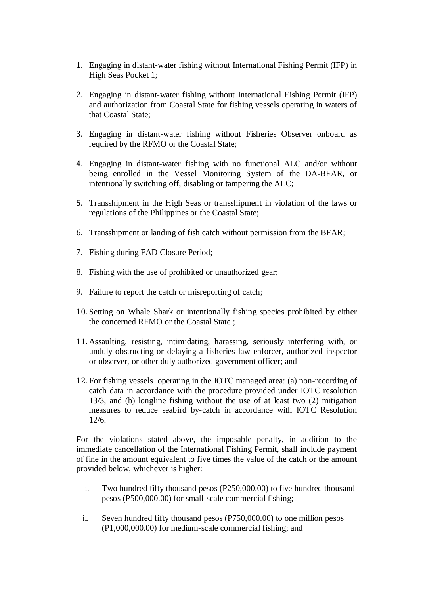- 1. Engaging in distant-water fishing without International Fishing Permit (IFP) in High Seas Pocket 1;
- 2. Engaging in distant-water fishing without International Fishing Permit (IFP) and authorization from Coastal State for fishing vessels operating in waters of that Coastal State;
- 3. Engaging in distant-water fishing without Fisheries Observer onboard as required by the RFMO or the Coastal State;
- 4. Engaging in distant-water fishing with no functional ALC and/or without being enrolled in the Vessel Monitoring System of the DA-BFAR, or intentionally switching off, disabling or tampering the ALC;
- 5. Transshipment in the High Seas or transshipment in violation of the laws or regulations of the Philippines or the Coastal State;
- 6. Transshipment or landing of fish catch without permission from the BFAR;
- 7. Fishing during FAD Closure Period;
- 8. Fishing with the use of prohibited or unauthorized gear;
- 9. Failure to report the catch or misreporting of catch;
- 10. Setting on Whale Shark or intentionally fishing species prohibited by either the concerned RFMO or the Coastal State ;
- 11. Assaulting, resisting, intimidating, harassing, seriously interfering with, or unduly obstructing or delaying a fisheries law enforcer, authorized inspector or observer, or other duly authorized government officer; and
- 12. For fishing vessels operating in the IOTC managed area: (a) non-recording of catch data in accordance with the procedure provided under IOTC resolution 13/3, and (b) longline fishing without the use of at least two (2) mitigation measures to reduce seabird by-catch in accordance with IOTC Resolution 12/6.

For the violations stated above, the imposable penalty, in addition to the immediate cancellation of the International Fishing Permit, shall include payment of fine in the amount equivalent to five times the value of the catch or the amount provided below, whichever is higher:

- i. Two hundred fifty thousand pesos (P250,000.00) to five hundred thousand pesos (P500,000.00) for small-scale commercial fishing;
- ii. Seven hundred fifty thousand pesos (P750,000.00) to one million pesos (P1,000,000.00) for medium-scale commercial fishing; and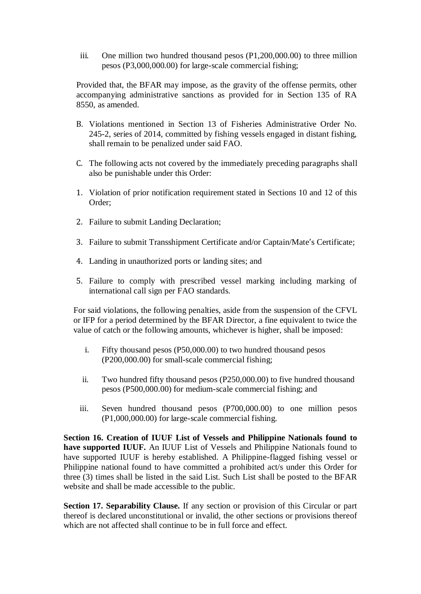iii. One million two hundred thousand pesos (P1,200,000.00) to three million pesos (P3,000,000.00) for large-scale commercial fishing;

Provided that, the BFAR may impose, as the gravity of the offense permits, other accompanying administrative sanctions as provided for in Section 135 of RA 8550, as amended.

- B. Violations mentioned in Section 13 of Fisheries Administrative Order No. 245-2, series of 2014, committed by fishing vessels engaged in distant fishing, shall remain to be penalized under said FAO.
- C. The following acts not covered by the immediately preceding paragraphs shall also be punishable under this Order:
- 1. Violation of prior notification requirement stated in Sections 10 and 12 of this Order;
- 2. Failure to submit Landing Declaration;
- 3. Failure to submit Transshipment Certificate and/or Captain/Mate's Certificate;
- 4. Landing in unauthorized ports or landing sites; and
- 5. Failure to comply with prescribed vessel marking including marking of international call sign per FAO standards.

For said violations, the following penalties, aside from the suspension of the CFVL or IFP for a period determined by the BFAR Director, a fine equivalent to twice the value of catch or the following amounts, whichever is higher, shall be imposed:

- i. Fifty thousand pesos (P50,000.00) to two hundred thousand pesos (P200,000.00) for small-scale commercial fishing;
- ii. Two hundred fifty thousand pesos (P250,000.00) to five hundred thousand pesos (P500,000.00) for medium-scale commercial fishing; and
- iii. Seven hundred thousand pesos (P700,000.00) to one million pesos (P1,000,000.00) for large-scale commercial fishing.

**Section 16. Creation of IUUF List of Vessels and Philippine Nationals found to have supported IUUF.** An IUUF List of Vessels and Philippine Nationals found to have supported IUUF is hereby established. A Philippine-flagged fishing vessel or Philippine national found to have committed a prohibited act/s under this Order for three (3) times shall be listed in the said List. Such List shall be posted to the BFAR website and shall be made accessible to the public.

**Section 17. Separability Clause.** If any section or provision of this Circular or part thereof is declared unconstitutional or invalid, the other sections or provisions thereof which are not affected shall continue to be in full force and effect.